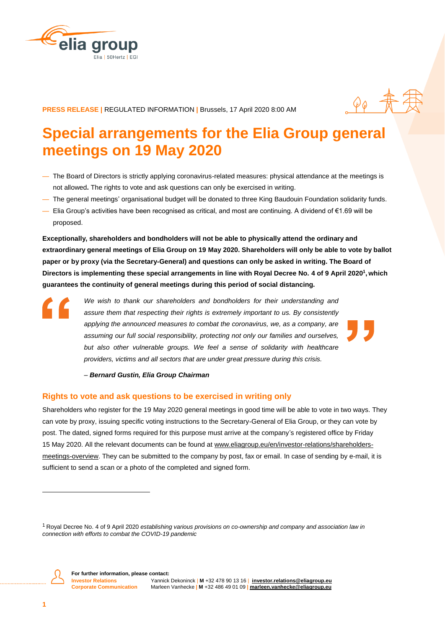



**PRESS RELEASE |** REGULATED INFORMATION **|** Brussels, 17 April 2020 8:00 AM

# **Special arrangements for the Elia Group general meetings on 19 May 2020**

- The Board of Directors is strictly applying coronavirus-related measures: physical attendance at the meetings is not allowed**.** The rights to vote and ask questions can only be exercised in writing.
- The general meetings' organisational budget will be donated to three King Baudouin Foundation solidarity funds.
- Elia Group's activities have been recognised as critical, and most are continuing. A dividend of €1.69 will be proposed.

**Exceptionally, shareholders and bondholders will not be able to physically attend the ordinary and extraordinary general meetings of Elia Group on 19 May 2020. Shareholders will only be able to vote by ballot paper or by proxy (via the Secretary-General) and questions can only be asked in writing. The Board of Directors is implementing these special arrangements in line with Royal Decree No. 4 of 9 April 2020<sup>1</sup> , which guarantees the continuity of general meetings during this period of social distancing.** 

*We wish to thank our shareholders and bondholders for their understanding and assure them that respecting their rights is extremely important to us. By consistently applying the announced measures to combat the coronavirus, we, as a company, are assuming our full social responsibility, protecting not only our families and ourselves,*  but also other vulnerable groups. We feel a sense of solidarity with healthcare *providers, victims and all sectors that are under great pressure during this crisis.* 

*– Bernard Gustin, Elia Group Chairman*

#### **Rights to vote and ask questions to be exercised in writing only**

Shareholders who register for the 19 May 2020 general meetings in good time will be able to vote in two ways. They can vote by proxy, issuing specific voting instructions to the Secretary-General of Elia Group, or they can vote by post. The dated, signed forms required for this purpose must arrive at the company's registered office by Friday 15 May 2020. All the relevant documents can be found at www.eliagroup.eu/en/investor-relations/shareholdersmeetings-overview. They can be submitted to the company by post, fax or email. In case of sending by e-mail, it is sufficient to send a scan or a photo of the completed and signed form.

<sup>1</sup> Royal Decree No. 4 of 9 April 2020 *establishing various provisions on co-ownership and company and association law in connection with efforts to combat the COVID-19 pandemic*



 $\overline{a}$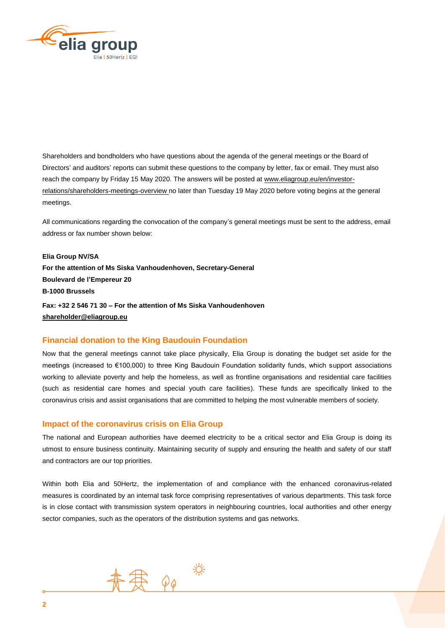

Shareholders and bondholders who have questions about the agenda of the general meetings or the Board of Directors' and auditors' reports can submit these questions to the company by letter, fax or email. They must also reach the company by Friday 15 May 2020. The answers will be posted at www.eliagroup.eu/en/investorrelations/shareholders-meetings-overview no later than Tuesday 19 May 2020 before voting begins at the general meetings.

All communications regarding the convocation of the company's general meetings must be sent to the address, email address or fax number shown below:

**Elia Group NV/SA For the attention of Ms Siska Vanhoudenhoven, Secretary-General Boulevard de l'Empereur 20 B-1000 Brussels Fax: +32 2 546 71 30 – For the attention of Ms Siska Vanhoudenhoven [shareholder@eliagroup.eu](mailto:shareholder@eliagroup.eu)**

## **Financial donation to the King Baudouin Foundation**

Now that the general meetings cannot take place physically, Elia Group is donating the budget set aside for the meetings (increased to €100,000) to three King Baudouin Foundation solidarity funds, which support associations working to alleviate poverty and help the homeless, as well as frontline organisations and residential care facilities (such as residential care homes and special youth care facilities). These funds are specifically linked to the coronavirus crisis and assist organisations that are committed to helping the most vulnerable members of society.

## **Impact of the coronavirus crisis on Elia Group**

The national and European authorities have deemed electricity to be a critical sector and Elia Group is doing its utmost to ensure business continuity. Maintaining security of supply and ensuring the health and safety of our staff and contractors are our top priorities.

Within both Elia and 50Hertz, the implementation of and compliance with the enhanced coronavirus-related measures is coordinated by an internal task force comprising representatives of various departments. This task force is in close contact with transmission system operators in neighbouring countries, local authorities and other energy sector companies, such as the operators of the distribution systems and gas networks.

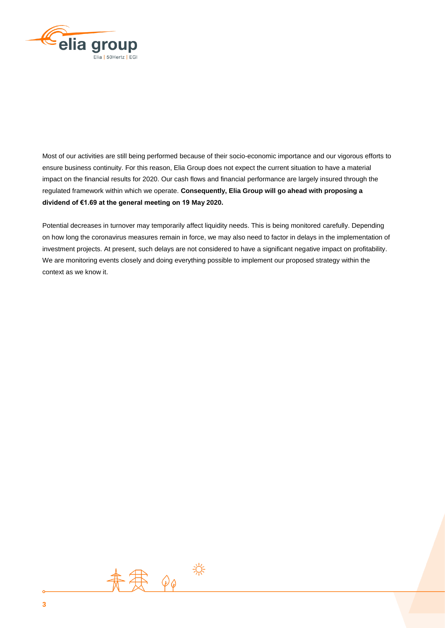

Most of our activities are still being performed because of their socio-economic importance and our vigorous efforts to ensure business continuity. For this reason, Elia Group does not expect the current situation to have a material impact on the financial results for 2020. Our cash flows and financial performance are largely insured through the regulated framework within which we operate. **Consequently, Elia Group will go ahead with proposing a dividend of €1.69 at the general meeting on 19 May 2020.** 

Potential decreases in turnover may temporarily affect liquidity needs. This is being monitored carefully. Depending on how long the coronavirus measures remain in force, we may also need to factor in delays in the implementation of investment projects. At present, such delays are not considered to have a significant negative impact on profitability. We are monitoring events closely and doing everything possible to implement our proposed strategy within the context as we know it.